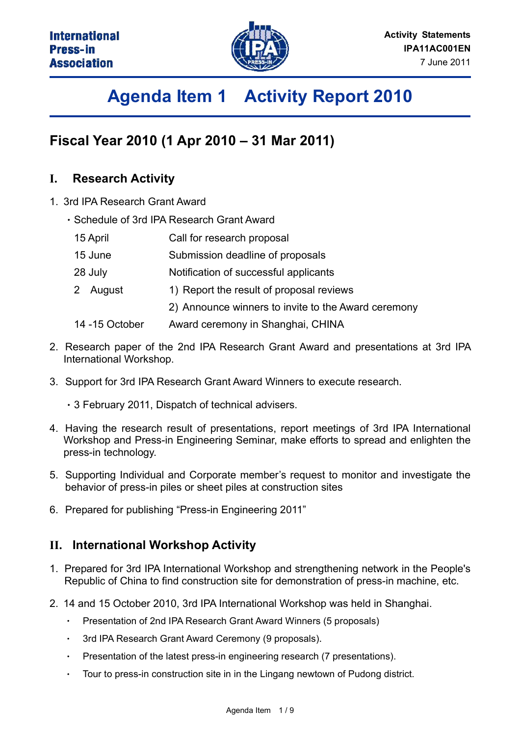

# **Agenda Item 1 Activity Report 2010**

### **Fiscal Year 2010 (1 Apr 2010 – 31 Mar 2011)**

### **I. Research Activity**

- 1. 3rd IPA Research Grant Award
	- Schedule of 3rd IPA Research Grant Award
	- 15 April Call for research proposal
	- 15 June Submission deadline of proposals
	- 28 July Notification of successful applicants
	- 2 August 1) Report the result of proposal reviews
		- 2) Announce winners to invite to the Award ceremony
	- 14 -15 October Award ceremony in Shanghai, CHINA
- 2. Research paper of the 2nd IPA Research Grant Award and presentations at 3rd IPA International Workshop.
- 3. Support for 3rd IPA Research Grant Award Winners to execute research.
	- 3 February 2011, Dispatch of technical advisers.
- 4. Having the research result of presentations, report meetings of 3rd IPA International Workshop and Press-in Engineering Seminar, make efforts to spread and enlighten the press-in technology.
- 5. Supporting Individual and Corporate member's request to monitor and investigate the behavior of press-in piles or sheet piles at construction sites
- 6. Prepared for publishing "Press-in Engineering 2011"

#### **II. International Workshop Activity**

- 1. Prepared for 3rd IPA International Workshop and strengthening network in the People's Republic of China to find construction site for demonstration of press-in machine, etc.
- 2. 14 and 15 October 2010, 3rd IPA International Workshop was held in Shanghai.
	- Presentation of 2nd IPA Research Grant Award Winners (5 proposals)  $\bullet$
	- 3rd IPA Research Grant Award Ceremony (9 proposals).
	- Presentation of the latest press-in engineering research (7 presentations).
	- Tour to press-in construction site in in the Lingang newtown of Pudong district.  $\bullet$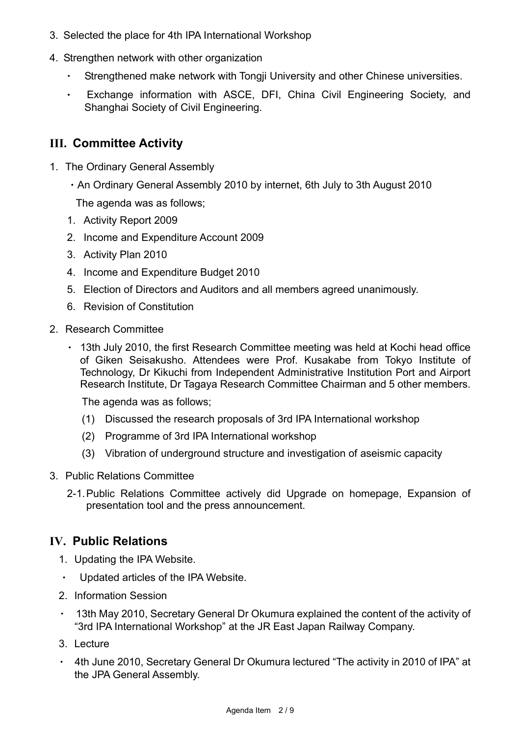- 3. Selected the place for 4th IPA International Workshop
- 4. Strengthen network with other organization
	- Strengthened make network with Tongji University and other Chinese universities.
	- $\ddot{\phantom{a}}$ Exchange information with ASCE, DFI, China Civil Engineering Society, and Shanghai Society of Civil Engineering.

#### **III. Committee Activity**

- 1. The Ordinary General Assembly
	- An Ordinary General Assembly 2010 by internet, 6th July to 3th August 2010 The agenda was as follows;
	- 1. Activity Report 2009
	- 2. Income and Expenditure Account 2009
	- 3. Activity Plan 2010
	- 4. Income and Expenditure Budget 2010
	- 5. Election of Directors and Auditors and all members agreed unanimously.
	- 6. Revision of Constitution
- 2. Research Committee
	- 13th July 2010, the first Research Committee meeting was held at Kochi head office of Giken Seisakusho. Attendees were Prof. Kusakabe from Tokyo Institute of Technology, Dr Kikuchi from Independent Administrative Institution Port and Airport Research Institute, Dr Tagaya Research Committee Chairman and 5 other members.

The agenda was as follows;

- (1) Discussed the research proposals of 3rd IPA International workshop
- (2) Programme of 3rd IPA International workshop
- (3) Vibration of underground structure and investigation of aseismic capacity
- 3. Public Relations Committee
	- 2-1. Public Relations Committee actively did Upgrade on homepage, Expansion of presentation tool and the press announcement.

#### **IV. Public Relations**

- 1. Updating the IPA Website.
- $\bullet$ Updated articles of the IPA Website.
- 2. Information Session
- 13th May 2010, Secretary General Dr Okumura explained the content of the activity of "3rd IPA International Workshop" at the JR East Japan Railway Company.
- 3. Lecture
- 4th June 2010, Secretary General Dr Okumura lectured "The activity in 2010 of IPA" at the JPA General Assembly.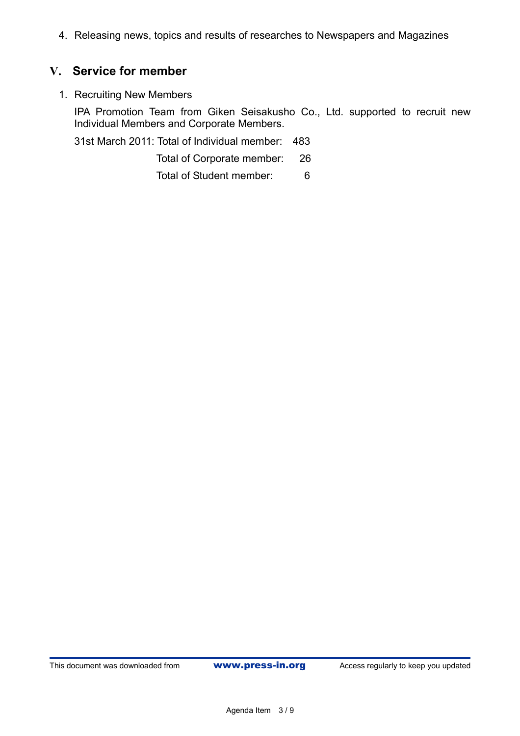4. Releasing news, topics and results of researches to Newspapers and Magazines

### **V. Service for member**

1. Recruiting New Members

IPA Promotion Team from Giken Seisakusho Co., Ltd. supported to recruit new Individual Members and Corporate Members.

31st March 2011: Total of Individual member: 483

Total of Corporate member: 26

Total of Student member: 6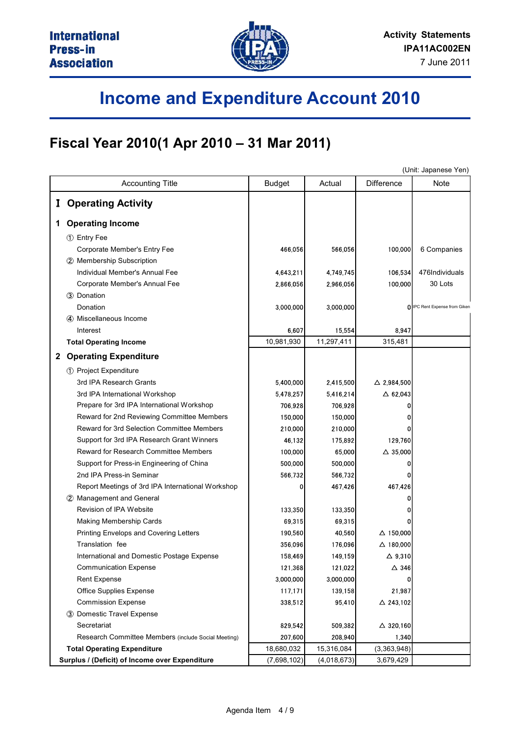

# **Income and Expenditure Account 2010**

### **Fiscal Year 2010(1 Apr 2010 – 31 Mar 2011)**

|              |                                                     | (Unit: Japanese Yen) |             |                       |                               |  |  |
|--------------|-----------------------------------------------------|----------------------|-------------|-----------------------|-------------------------------|--|--|
|              | <b>Accounting Title</b>                             | <b>Budget</b>        | Actual      | <b>Difference</b>     | Note                          |  |  |
|              | <b>I</b> Operating Activity                         |                      |             |                       |                               |  |  |
|              |                                                     |                      |             |                       |                               |  |  |
| 1            | <b>Operating Income</b>                             |                      |             |                       |                               |  |  |
|              | 1 Entry Fee                                         |                      |             |                       |                               |  |  |
|              | Corporate Member's Entry Fee                        | 466,056              | 566,056     | 100,000               | 6 Companies                   |  |  |
|              | 2 Membership Subscription                           |                      |             |                       |                               |  |  |
|              | Individual Member's Annual Fee                      | 4,643,211            | 4,749,745   | 106,534               | 476Individuals                |  |  |
|              | Corporate Member's Annual Fee                       | 2,866,056            | 2,966,056   | 100,000               | 30 Lots                       |  |  |
|              | 3 Donation                                          |                      |             |                       |                               |  |  |
|              | Donation                                            | 3,000,000            | 3,000,000   |                       | O IPC Rent Expense from Giken |  |  |
|              | 4) Miscellaneous Income                             |                      |             |                       |                               |  |  |
|              | Interest                                            | 6.607                | 15.554      | 8.947                 |                               |  |  |
|              | <b>Total Operating Income</b>                       | 10,981,930           | 11,297,411  | 315,481               |                               |  |  |
| $\mathbf{2}$ | <b>Operating Expenditure</b>                        |                      |             |                       |                               |  |  |
|              | 1 Project Expenditure                               |                      |             |                       |                               |  |  |
|              | 3rd IPA Research Grants                             | 5,400,000            | 2,415,500   | $\triangle$ 2,984,500 |                               |  |  |
|              | 3rd IPA International Workshop                      | 5,478,257            | 5,416,214   | $\triangle$ 62,043    |                               |  |  |
|              | Prepare for 3rd IPA International Workshop          | 706,928              | 706,928     |                       |                               |  |  |
|              | Reward for 2nd Reviewing Committee Members          | 150,000              | 150,000     |                       |                               |  |  |
|              | Reward for 3rd Selection Committee Members          | 210,000              | 210,000     |                       |                               |  |  |
|              | Support for 3rd IPA Research Grant Winners          | 46,132               | 175,892     | 129,760               |                               |  |  |
|              | Reward for Research Committee Members               | 100,000              | 65,000      | $\triangle$ 35,000    |                               |  |  |
|              | Support for Press-in Engineering of China           | 500,000              | 500,000     |                       |                               |  |  |
|              | 2nd IPA Press-in Seminar                            | 566,732              | 566,732     |                       |                               |  |  |
|              | Report Meetings of 3rd IPA International Workshop   | 0                    | 467,426     | 467,426               |                               |  |  |
|              | Management and General<br>$\circled{2}$             |                      |             |                       |                               |  |  |
|              | Revision of IPA Website                             | 133.350              | 133,350     |                       |                               |  |  |
|              | Making Membership Cards                             | 69,315               | 69,315      |                       |                               |  |  |
|              | Printing Envelops and Covering Letters              | 190,560              | 40,560      | $\Delta$ 150,000      |                               |  |  |
|              | Translation fee                                     | 356,096              | 176.096     | $\triangle$ 180,000   |                               |  |  |
|              | International and Domestic Postage Expense          | 158,469              | 149,159     | $\Delta$ 9,310        |                               |  |  |
|              | <b>Communication Expense</b>                        | 121,368              | 121,022     | $\Delta$ 346          |                               |  |  |
|              | Rent Expense                                        | 3,000,000            | 3,000,000   |                       |                               |  |  |
|              | Office Supplies Expense                             | 117,171              | 139,158     | 21,987                |                               |  |  |
|              | <b>Commission Expense</b>                           | 338,512              | 95,410      | △ 243,102             |                               |  |  |
|              | 3 Domestic Travel Expense                           |                      |             |                       |                               |  |  |
|              | Secretariat                                         | 829,542              | 509,382     | $\triangle$ 320,160   |                               |  |  |
|              | Research Committee Members (include Social Meeting) | 207,600              | 208,940     | 1,340                 |                               |  |  |
|              | <b>Total Operating Expenditure</b>                  | 18,680,032           | 15,316,084  | (3,363,948)           |                               |  |  |
|              | Surplus / (Deficit) of Income over Expenditure      | (7,698,102)          | (4,018,673) | 3,679,429             |                               |  |  |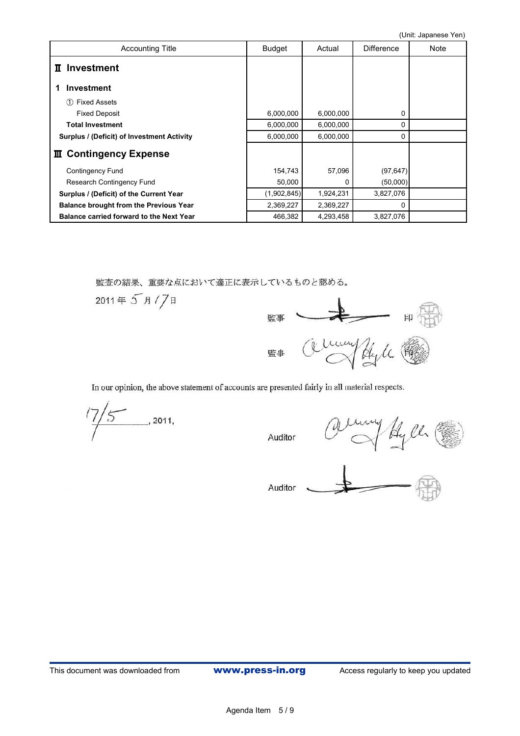| <b>Accounting Title</b>                         | <b>Budget</b> | Actual    | <b>Difference</b> | Note |
|-------------------------------------------------|---------------|-----------|-------------------|------|
| II Investment                                   |               |           |                   |      |
| <b>Investment</b>                               |               |           |                   |      |
| <b>Fixed Assets</b><br>(1)                      |               |           |                   |      |
| <b>Fixed Deposit</b>                            | 6,000,000     | 6,000,000 | 0                 |      |
| <b>Total Investment</b>                         | 6,000,000     | 6,000,000 | 0                 |      |
| Surplus / (Deficit) of Investment Activity      | 6,000,000     | 6,000,000 | $\Omega$          |      |
| Ⅲ Contingency Expense                           |               |           |                   |      |
| <b>Contingency Fund</b>                         | 154,743       | 57,096    | (97, 647)         |      |
| Research Contingency Fund                       | 50,000        | 0         | (50,000)          |      |
| Surplus / (Deficit) of the Current Year         | (1,902,845)   | 1,924,231 | 3,827,076         |      |
| <b>Balance brought from the Previous Year</b>   | 2,369,227     | 2,369,227 | $\Omega$          |      |
| <b>Balance carried forward to the Next Year</b> | 466,382       | 4,293,458 | 3,827,076         |      |

監査の結果、重要な点において適正に表示しているものと認める。



In our opinion, the above statement of accounts are presented fairly in all material respects.

 $\frac{7}{5}$  2011,

Auditor

my Hyll (

Auditor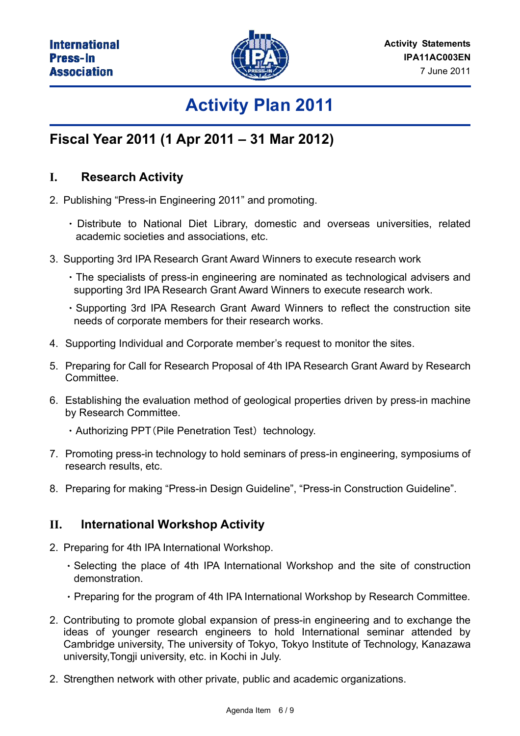

## **Activity Plan 2011**

### **Fiscal Year 2011 (1 Apr 2011 – 31 Mar 2012)**

### **I. Research Activity**

- 2. Publishing "Press-in Engineering 2011" and promoting.
	- Distribute to National Diet Library, domestic and overseas universities, related academic societies and associations, etc.
- 3. Supporting 3rd IPA Research Grant Award Winners to execute research work
	- The specialists of press-in engineering are nominated as technological advisers and supporting 3rd IPA Research Grant Award Winners to execute research work.
	- Supporting 3rd IPA Research Grant Award Winners to reflect the construction site needs of corporate members for their research works.
- 4. Supporting Individual and Corporate member's request to monitor the sites.
- 5. Preparing for Call for Research Proposal of 4th IPA Research Grant Award by Research Committee.
- 6. Establishing the evaluation method of geological properties driven by press-in machine by Research Committee.
	- $\cdot$  Authorizing PPT (Pile Penetration Test) technology.
- 7. Promoting press-in technology to hold seminars of press-in engineering, symposiums of research results, etc.
- 8. Preparing for making "Press-in Design Guideline", "Press-in Construction Guideline".

### **II. International Workshop Activity**

- 2. Preparing for 4th IPA International Workshop.
	- Selecting the place of 4th IPA International Workshop and the site of construction demonstration.
	- Preparing for the program of 4th IPA International Workshop by Research Committee.
- 2. Contributing to promote global expansion of press-in engineering and to exchange the ideas of younger research engineers to hold International seminar attended by Cambridge university, The university of Tokyo, Tokyo Institute of Technology, Kanazawa university,Tongji university, etc. in Kochi in July.
- 2. Strengthen network with other private, public and academic organizations.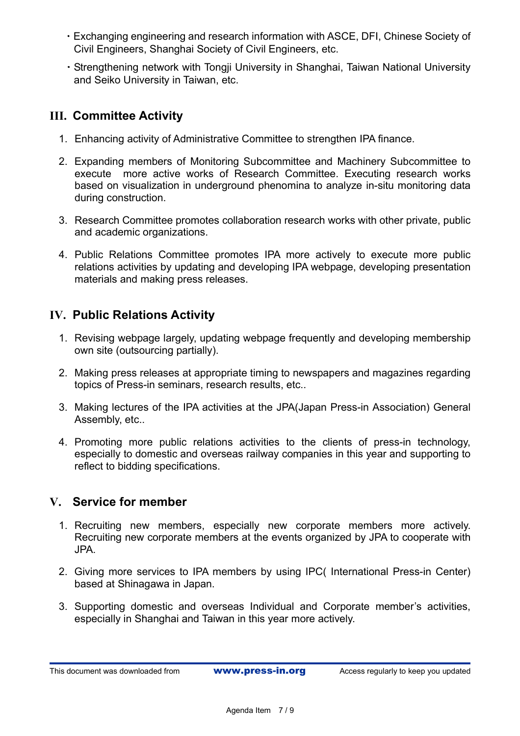- Exchanging engineering and research information with ASCE, DFI, Chinese Society of Civil Engineers, Shanghai Society of Civil Engineers, etc.
- Strengthening network with Tongji University in Shanghai, Taiwan National University and Seiko University in Taiwan, etc.

### **III. Committee Activity**

- 1. Enhancing activity of Administrative Committee to strengthen IPA finance.
- 2. Expanding members of Monitoring Subcommittee and Machinery Subcommittee to execute more active works of Research Committee. Executing research works based on visualization in underground phenomina to analyze in-situ monitoring data during construction.
- 3. Research Committee promotes collaboration research works with other private, public and academic organizations.
- 4. Public Relations Committee promotes IPA more actively to execute more public relations activities by updating and developing IPA webpage, developing presentation materials and making press releases.

### **IV. Public Relations Activity**

- 1. Revising webpage largely, updating webpage frequently and developing membership own site (outsourcing partially).
- 2. Making press releases at appropriate timing to newspapers and magazines regarding topics of Press-in seminars, research results, etc..
- 3. Making lectures of the IPA activities at the JPA(Japan Press-in Association) General Assembly, etc..
- 4. Promoting more public relations activities to the clients of press-in technology, especially to domestic and overseas railway companies in this year and supporting to reflect to bidding specifications.

### **V. Service for member**

- 1. Recruiting new members, especially new corporate members more actively. Recruiting new corporate members at the events organized by JPA to cooperate with JPA.
- 2. Giving more services to IPA members by using IPC( International Press-in Center) based at Shinagawa in Japan.
- 3. Supporting domestic and overseas Individual and Corporate member's activities, especially in Shanghai and Taiwan in this year more actively.

This document was downloaded from **www.press-in.org** Access regularly to keep you updated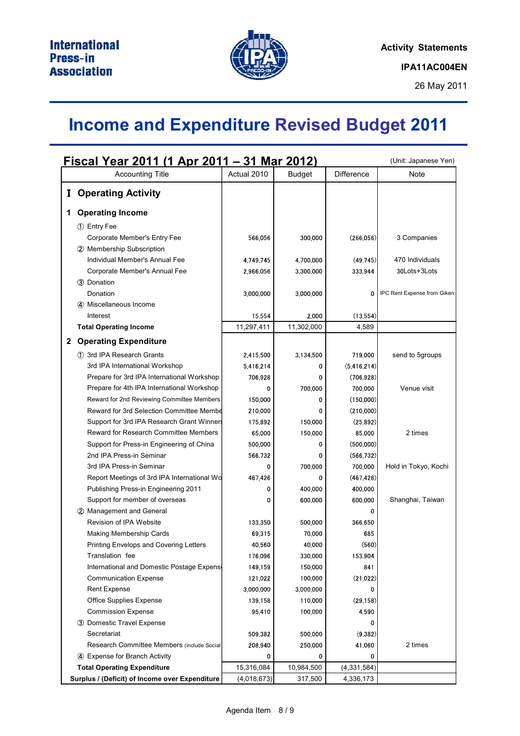

## **Income and Expenditure Revised Budget 2011**

| <u> Fiscal Year 2011 (1 Apr 2011 – 31 Mar 2012)</u> |                                                |                      |                     |                    | (Unit: Japanese Yen)        |
|-----------------------------------------------------|------------------------------------------------|----------------------|---------------------|--------------------|-----------------------------|
|                                                     | <b>Accounting Title</b>                        | Actual 2010          | <b>Budget</b>       | Difference         | Note                        |
| $\mathbf{I}$                                        | <b>Operating Activity</b>                      |                      |                     |                    |                             |
|                                                     |                                                |                      |                     |                    |                             |
| 1                                                   | <b>Operating Income</b>                        |                      |                     |                    |                             |
|                                                     | 1 Entry Fee                                    |                      |                     |                    |                             |
|                                                     | Corporate Member's Entry Fee                   | 566,056              | 300,000             | (266, 056)         | 3 Companies                 |
|                                                     | 2 Membership Subscription                      |                      |                     |                    |                             |
|                                                     | Individual Member's Annual Fee                 | 4,749,745            | 4,700,000           | (49, 745)          | 470 Individuals             |
|                                                     | Corporate Member's Annual Fee                  | 2,966,056            | 3,300,000           | 333,944            | 30Lots+3Lots                |
|                                                     | 3 Donation                                     |                      |                     |                    |                             |
|                                                     | Donation                                       | 3,000,000            | 3,000,000           | 0                  | IPC Rent Expense from Giken |
|                                                     | 4 Miscellaneous Income                         |                      |                     |                    |                             |
|                                                     | Interest<br><b>Total Operating Income</b>      | 15,554<br>11,297,411 | 2.000<br>11,302,000 | (13, 554)<br>4,589 |                             |
|                                                     |                                                |                      |                     |                    |                             |
|                                                     | 2 Operating Expenditure                        |                      |                     |                    |                             |
|                                                     | 1 3rd IPA Research Grants                      | 2,415,500            | 3,134,500           | 719,000            | send to 5groups             |
|                                                     | 3rd IPA International Workshop                 | 5,416,214            | 0                   | (5, 416, 214)      |                             |
|                                                     | Prepare for 3rd IPA International Workshop     | 706,928              | 0                   | (706, 928)         |                             |
|                                                     | Prepare for 4th IPA International Workshop     | 0                    | 700,000             | 700,000            | Venue visit                 |
|                                                     | Reward for 2nd Reviewing Committee Members     | 150,000              | 0                   | (150,000)          |                             |
|                                                     | Reward for 3rd Selection Committee Membe       | 210,000              | 0                   | (210,000)          |                             |
|                                                     | Support for 3rd IPA Research Grant Winners     | 175,892              | 150,000             | (25, 892)          |                             |
|                                                     | Reward for Research Committee Members          | 65,000               | 150,000             | 85,000             | 2 times                     |
|                                                     | Support for Press-in Engineering of China      | 500,000              | 0                   | (500,000)          |                             |
|                                                     | 2nd IPA Press-in Seminar                       | 566,732              | 0                   | (566, 732)         |                             |
|                                                     | 3rd IPA Press-in Seminar                       | 0                    | 700,000             | 700,000            | Hold in Tokyo, Kochi        |
|                                                     | Report Meetings of 3rd IPA International Wo    | 467,426              | 0                   | (467, 426)         |                             |
|                                                     | Publishing Press-in Engineering 2011           | 0                    | 400,000             | 400,000            |                             |
|                                                     | Support for member of overseas                 | 0                    | 600,000             | 600,000            | Shanghai, Taiwan            |
|                                                     | 2 Management and General                       |                      |                     | 0                  |                             |
|                                                     | Revision of IPA Website                        | 133,350              | 500,000             | 366,650            |                             |
|                                                     | <b>Making Membership Cards</b>                 | 69,315               | 70,000              | 685                |                             |
|                                                     | Printing Envelops and Covering Letters         | 40,560               | 40,000              | (560)              |                             |
|                                                     | Translation fee                                | 176,096              | 330,000             | 153,904            |                             |
|                                                     | International and Domestic Postage Expense     | 149,159              | 150,000             | 841                |                             |
|                                                     | <b>Communication Expense</b>                   | 121,022              | 100,000             | (21, 022)          |                             |
|                                                     | <b>Rent Expense</b>                            | 3,000,000            | 3,000,000           | 0                  |                             |
|                                                     | Office Supplies Expense                        | 139,158              | 110,000             | (29, 158)          |                             |
|                                                     | <b>Commission Expense</b>                      | 95,410               | 100,000             | 4,590              |                             |
|                                                     | 3 Domestic Travel Expense                      |                      |                     |                    |                             |
|                                                     | Secretariat                                    | 509,382              | 500,000             | (9,382)            |                             |
|                                                     | Research Committee Members (include Social     | 208,940              | 250,000             | 41,060             | 2 times                     |
|                                                     | 4 Expense for Branch Activity                  | 0                    | 0                   | 0                  |                             |
|                                                     | <b>Total Operating Expenditure</b>             | 15,316,084           | 10,984,500          | (4, 331, 584)      |                             |
|                                                     | Surplus / (Deficit) of Income over Expenditure | (4,018,673)          | 317,500             | 4,336,173          |                             |